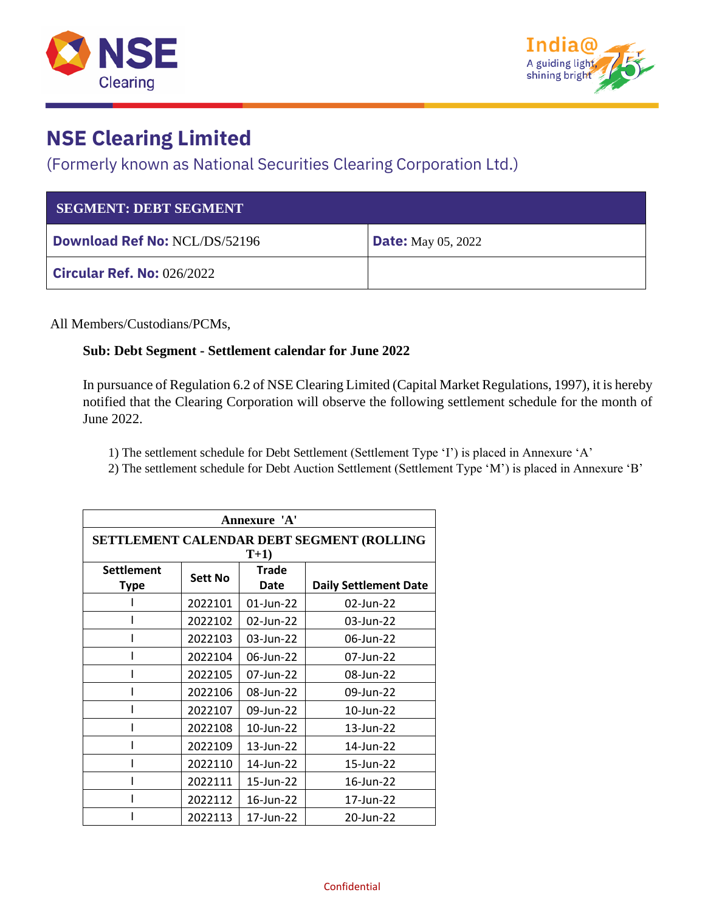



## **NSE Clearing Limited**

### (Formerly known as National Securities Clearing Corporation Ltd.)

| <b>SEGMENT: DEBT SEGMENT</b>         |                           |
|--------------------------------------|---------------------------|
| <b>Download Ref No: NCL/DS/52196</b> | <b>Date:</b> May 05, 2022 |
| <b>Circular Ref. No: 026/2022</b>    |                           |

All Members/Custodians/PCMs,

#### **Sub: Debt Segment - Settlement calendar for June 2022**

In pursuance of Regulation 6.2 of NSE Clearing Limited (Capital Market Regulations, 1997), it is hereby notified that the Clearing Corporation will observe the following settlement schedule for the month of June 2022.

1) The settlement schedule for Debt Settlement (Settlement Type 'I') is placed in Annexure 'A'

2) The settlement schedule for Debt Auction Settlement (Settlement Type 'M') is placed in Annexure 'B'

| Annexure 'A'                                       |         |               |                              |
|----------------------------------------------------|---------|---------------|------------------------------|
| SETTLEMENT CALENDAR DEBT SEGMENT (ROLLING<br>$T+1$ |         |               |                              |
| <b>Settlement</b><br><b>Type</b>                   | Sett No | Trade<br>Date | <b>Daily Settlement Date</b> |
|                                                    | 2022101 | $01$ -Jun-22  | 02-Jun-22                    |
|                                                    | 2022102 | 02-Jun-22     | 03-Jun-22                    |
|                                                    | 2022103 | 03-Jun-22     | 06-Jun-22                    |
|                                                    | 2022104 | 06-Jun-22     | 07-Jun-22                    |
|                                                    | 2022105 | 07-Jun-22     | 08-Jun-22                    |
|                                                    | 2022106 | 08-Jun-22     | 09-Jun-22                    |
|                                                    | 2022107 | 09-Jun-22     | 10-Jun-22                    |
|                                                    | 2022108 | 10-Jun-22     | 13-Jun-22                    |
|                                                    | 2022109 | 13-Jun-22     | 14-Jun-22                    |
|                                                    | 2022110 | 14-Jun-22     | 15-Jun-22                    |
|                                                    | 2022111 | 15-Jun-22     | 16-Jun-22                    |
|                                                    | 2022112 | 16-Jun-22     | 17-Jun-22                    |
|                                                    | 2022113 | 17-Jun-22     | 20-Jun-22                    |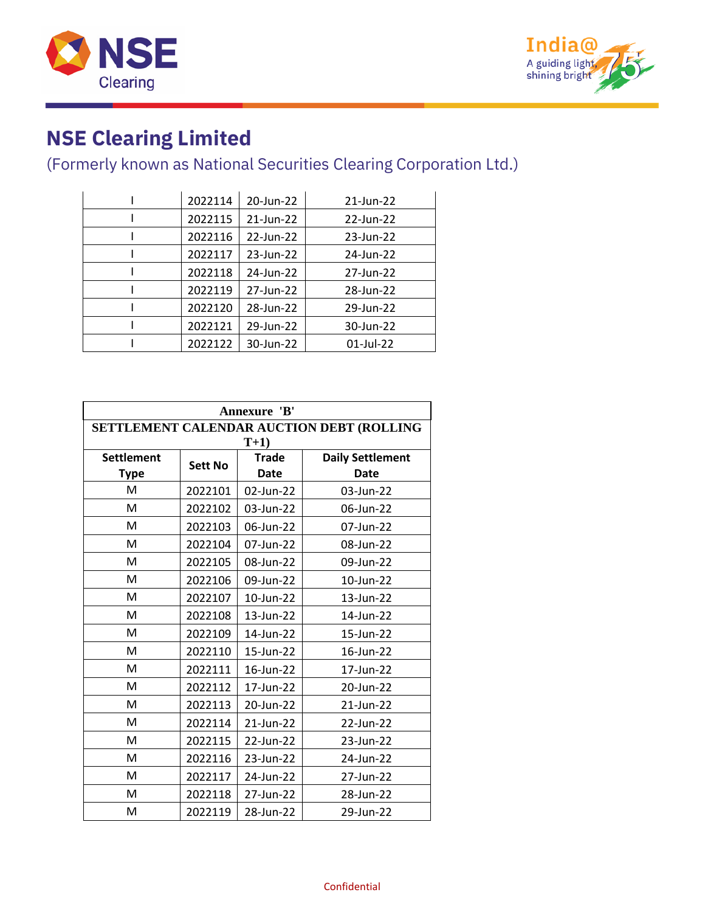



# **NSE Clearing Limited**

## (Formerly known as National Securities Clearing Corporation Ltd.)

| 2022114 | 20-Jun-22 | 21-Jun-22 |
|---------|-----------|-----------|
| 2022115 | 21-Jun-22 | 22-Jun-22 |
| 2022116 | 22-Jun-22 | 23-Jun-22 |
| 2022117 | 23-Jun-22 | 24-Jun-22 |
| 2022118 | 24-Jun-22 | 27-Jun-22 |
| 2022119 | 27-Jun-22 | 28-Jun-22 |
| 2022120 | 28-Jun-22 | 29-Jun-22 |
| 2022121 | 29-Jun-22 | 30-Jun-22 |
| 2022122 | 30-Jun-22 | 01-Jul-22 |

| Annexure 'B'                              |                |              |                         |
|-------------------------------------------|----------------|--------------|-------------------------|
| SETTLEMENT CALENDAR AUCTION DEBT (ROLLING |                |              |                         |
|                                           |                | $T+1$        |                         |
| <b>Settlement</b>                         | <b>Sett No</b> | <b>Trade</b> | <b>Daily Settlement</b> |
| <b>Type</b>                               |                | <b>Date</b>  | <b>Date</b>             |
| м                                         | 2022101        | 02-Jun-22    | 03-Jun-22               |
| M                                         | 2022102        | 03-Jun-22    | 06-Jun-22               |
| M                                         | 2022103        | 06-Jun-22    | 07-Jun-22               |
| M                                         | 2022104        | 07-Jun-22    | 08-Jun-22               |
| M                                         | 2022105        | 08-Jun-22    | 09-Jun-22               |
| M                                         | 2022106        | 09-Jun-22    | 10-Jun-22               |
| M                                         | 2022107        | 10-Jun-22    | 13-Jun-22               |
| M                                         | 2022108        | 13-Jun-22    | 14-Jun-22               |
| M                                         | 2022109        | 14-Jun-22    | 15-Jun-22               |
| M                                         | 2022110        | 15-Jun-22    | 16-Jun-22               |
| M                                         | 2022111        | 16-Jun-22    | 17-Jun-22               |
| M                                         | 2022112        | 17-Jun-22    | 20-Jun-22               |
| M                                         | 2022113        | 20-Jun-22    | 21-Jun-22               |
| M                                         | 2022114        | 21-Jun-22    | 22-Jun-22               |
| м                                         | 2022115        | 22-Jun-22    | 23-Jun-22               |
| M                                         | 2022116        | 23-Jun-22    | 24-Jun-22               |
| м                                         | 2022117        | 24-Jun-22    | 27-Jun-22               |
| M                                         | 2022118        | 27-Jun-22    | 28-Jun-22               |
| м                                         | 2022119        | 28-Jun-22    | 29-Jun-22               |